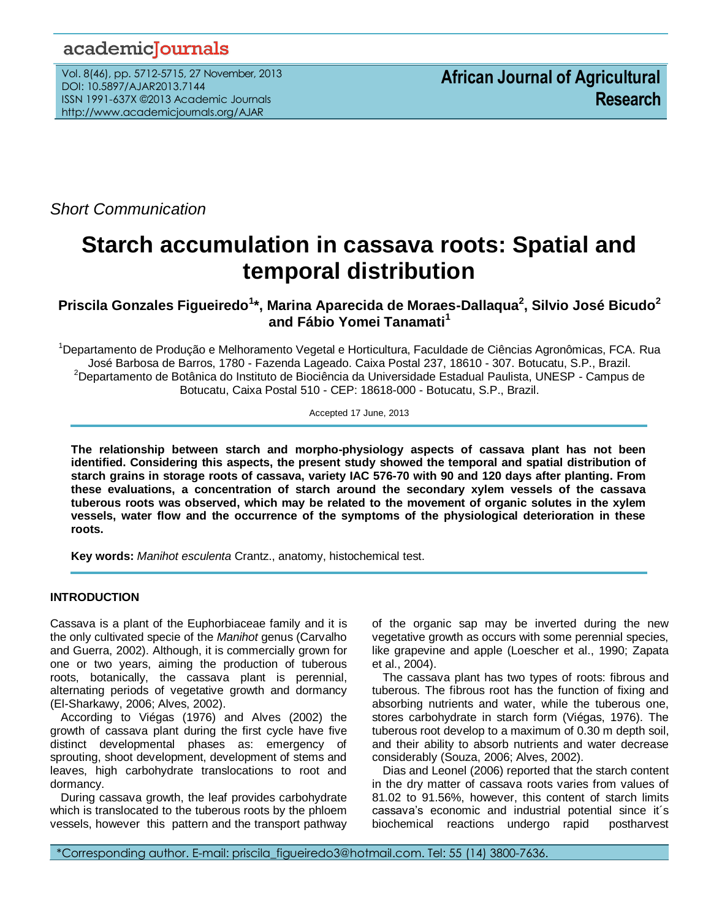## academicJournals

Vol. 8(46), pp. 5712-5715, 27 November, 2013 DOI: 10.5897/AJAR2013.7144 ISSN 1991-637X ©2013 Academic Journals http://www.academicjournals.org/AJAR

*Short Communication*

# **Starch accumulation in cassava roots: Spatial and temporal distribution**

## **Priscila Gonzales Figueiredo<sup>1</sup> \*, Marina Aparecida de Moraes-Dallaqua<sup>2</sup> , Silvio José Bicudo<sup>2</sup> and Fábio Yomei Tanamati<sup>1</sup>**

<sup>1</sup>Departamento de Produção e Melhoramento Vegetal e Horticultura, Faculdade de Ciências Agronômicas, FCA. Rua José Barbosa de Barros, 1780 - Fazenda Lageado. Caixa Postal 237, 18610 - 307. Botucatu, S.P., Brazil. <sup>2</sup>Departamento de Botânica do Instituto de Biociência da Universidade Estadual Paulista, UNESP - Campus de Botucatu, Caixa Postal 510 - CEP: 18618-000 - Botucatu, S.P., Brazil.

Accepted 17 June, 2013

**The relationship between starch and morpho-physiology aspects of cassava plant has not been identified. Considering this aspects, the present study showed the temporal and spatial distribution of starch grains in storage roots of cassava, variety IAC 576-70 with 90 and 120 days after planting. From these evaluations, a concentration of starch around the secondary xylem vessels of the cassava tuberous roots was observed, which may be related to the movement of organic solutes in the xylem vessels, water flow and the occurrence of the symptoms of the physiological deterioration in these roots.**

**Key words:** *Manihot esculenta* Crantz., anatomy, histochemical test.

### **INTRODUCTION**

Cassava is a plant of the Euphorbiaceae family and it is the only cultivated specie of the *Manihot* genus (Carvalho and Guerra, 2002). Although, it is commercially grown for one or two years, aiming the production of tuberous roots, botanically, the cassava plant is perennial, alternating periods of vegetative growth and dormancy (El-Sharkawy, 2006; Alves, 2002).

According to Viégas (1976) and Alves (2002) the growth of cassava plant during the first cycle have five distinct developmental phases as: emergency of sprouting, shoot development, development of stems and leaves, high carbohydrate translocations to root and dormancy.

During cassava growth, the leaf provides carbohydrate which is translocated to the tuberous roots by the phloem vessels, however this pattern and the transport pathway of the organic sap may be inverted during the new vegetative growth as occurs with some perennial species, like grapevine and apple (Loescher et al., 1990; Zapata et al., 2004).

The cassava plant has two types of roots: fibrous and tuberous. The fibrous root has the function of fixing and absorbing nutrients and water, while the tuberous one, stores carbohydrate in starch form (Viégas, 1976). The tuberous root develop to a maximum of 0.30 m depth soil, and their ability to absorb nutrients and water decrease considerably (Souza, 2006; Alves, 2002).

Dias and Leonel (2006) reported that the starch content in the dry matter of cassava roots varies from values of 81.02 to 91.56%, however, this content of starch limits cassava's economic and industrial potential since it´s biochemical reactions undergo rapid postharvest

\*Corresponding author. E-mail: priscila\_figueiredo3@hotmail.com. Tel: 55 (14) 3800-7636.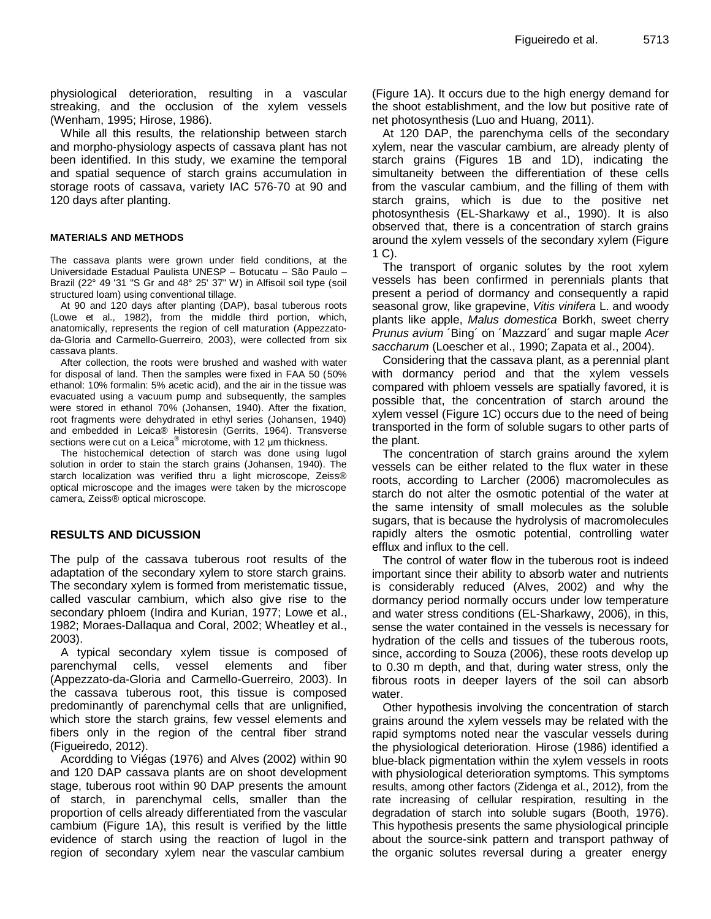physiological deterioration, resulting in a vascular streaking, and the occlusion of the xylem vessels (Wenham, 1995; Hirose, 1986).

While all this results, the relationship between starch and morpho-physiology aspects of cassava plant has not been identified. In this study, we examine the temporal and spatial sequence of starch grains accumulation in storage roots of cassava, variety IAC 576-70 at 90 and 120 days after planting.

#### **MATERIALS AND METHODS**

The cassava plants were grown under field conditions, at the Universidade Estadual Paulista UNESP – Botucatu – São Paulo – Brazil (22° 49 '31 "S Gr and 48° 25' 37" W) in Alfisoil soil type (soil structured loam) using conventional tillage.

At 90 and 120 days after planting (DAP), basal tuberous roots (Lowe et al., 1982), from the middle third portion, which, anatomically, represents the region of cell maturation (Appezzatoda-Gloria and Carmello-Guerreiro, 2003), were collected from six cassava plants.

After collection, the roots were brushed and washed with water for disposal of land. Then the samples were fixed in FAA 50 (50% ethanol: 10% formalin: 5% acetic acid), and the air in the tissue was evacuated using a vacuum pump and subsequently, the samples were stored in ethanol 70% (Johansen, 1940). After the fixation, root fragments were dehydrated in ethyl series (Johansen, 1940) and embedded in Leica® Historesin (Gerrits, 1964). Transverse sections were cut on a Leica<sup>®</sup> microtome, with 12 μm thickness.

The histochemical detection of starch was done using lugol solution in order to stain the starch grains (Johansen, 1940). The starch localization was verified thru a light microscope, Zeiss® optical microscope and the images were taken by the microscope camera, Zeiss® optical microscope.

#### **RESULTS AND DICUSSION**

The pulp of the cassava tuberous root results of the adaptation of the secondary xylem to store starch grains. The secondary xylem is formed from meristematic tissue, called vascular cambium, which also give rise to the secondary phloem (Indira and Kurian, 1977; Lowe et al., 1982; Moraes-Dallaqua and Coral, 2002; Wheatley et al., 2003).

A typical secondary xylem tissue is composed of parenchymal cells, vessel elements and fiber (Appezzato-da-Gloria and Carmello-Guerreiro, 2003). In the cassava tuberous root, this tissue is composed predominantly of parenchymal cells that are unlignified, which store the starch grains, few vessel elements and fibers only in the region of the central fiber strand (Figueiredo, 2012).

Acordding to Viégas (1976) and Alves (2002) within 90 and 120 DAP cassava plants are on shoot development stage, tuberous root within 90 DAP presents the amount of starch, in parenchymal cells, smaller than the proportion of cells already differentiated from the vascular cambium (Figure 1A), this result is verified by the little evidence of starch using the reaction of lugol in the region of secondary xylem near the vascular cambium

(Figure 1A). It occurs due to the high energy demand for the shoot establishment, and the low but positive rate of net photosynthesis (Luo and Huang, 2011).

At 120 DAP, the parenchyma cells of the secondary xylem, near the vascular cambium, are already plenty of starch grains (Figures 1B and 1D), indicating the simultaneity between the differentiation of these cells from the vascular cambium, and the filling of them with starch grains, which is due to the positive net photosynthesis (EL-Sharkawy et al., 1990). It is also observed that, there is a concentration of starch grains around the xylem vessels of the secondary xylem (Figure 1 C).

The transport of organic solutes by the root xylem vessels has been confirmed in perennials plants that present a period of dormancy and consequently a rapid seasonal grow, like grapevine, *Vitis vinifera* L. and woody plants like apple, *[Malus domestica](http://www.google.com.br/url?sa=t&rct=j&q=&esrc=s&source=web&cd=3&ved=0CDwQFjAC&url=http%3A%2F%2Fchefaldo.com.br%2Fhistoria-dos-alimentos%2F55-maca-nome-cientifico-malus-domestica-borkh&ei=ch-aUYCQHoiK0QGxhoCQBQ&usg=AFQjCNFEk9NhXHmEDarYlJnzuKfvgdkUag&bvm=bv.46751780,d.dmQ)* Borkh, sweet cherry *Prunus avium* ´Bing´ on ´Mazzard´ and sugar maple *Acer saccharum* (Loescher et al., 1990; Zapata et al., 2004).

Considering that the cassava plant, as a perennial plant with dormancy period and that the xylem vessels compared with phloem vessels are spatially favored, it is possible that, the concentration of starch around the xylem vessel (Figure 1C) occurs due to the need of being transported in the form of soluble sugars to other parts of the plant.

The concentration of starch grains around the xylem vessels can be either related to the flux water in these roots, according to Larcher (2006) macromolecules as starch do not alter the osmotic potential of the water at the same intensity of small molecules as the soluble sugars, that is because the hydrolysis of macromolecules rapidly alters the osmotic potential, controlling water efflux and influx to the cell.

The control of water flow in the tuberous root is indeed important since their ability to absorb water and nutrients is considerably reduced (Alves, 2002) and why the dormancy period normally occurs under low temperature and water stress conditions (EL-Sharkawy, 2006), in this, sense the water contained in the vessels is necessary for hydration of the cells and tissues of the tuberous roots, since, according to Souza (2006), these roots develop up to 0.30 m depth, and that, during water stress, only the fibrous roots in deeper layers of the soil can absorb water.

Other hypothesis involving the concentration of starch grains around the xylem vessels may be related with the rapid symptoms noted near the vascular vessels during the physiological deterioration. Hirose (1986) identified a blue-black pigmentation within the xylem vessels in roots with physiological deterioration symptoms. This symptoms results, among other factors (Zidenga et al., 2012), from the rate increasing of cellular respiration, resulting in the degradation of starch into soluble sugars (Booth, 1976). This hypothesis presents the same physiological principle about the source-sink pattern and transport pathway of the organic solutes reversal during a greater energy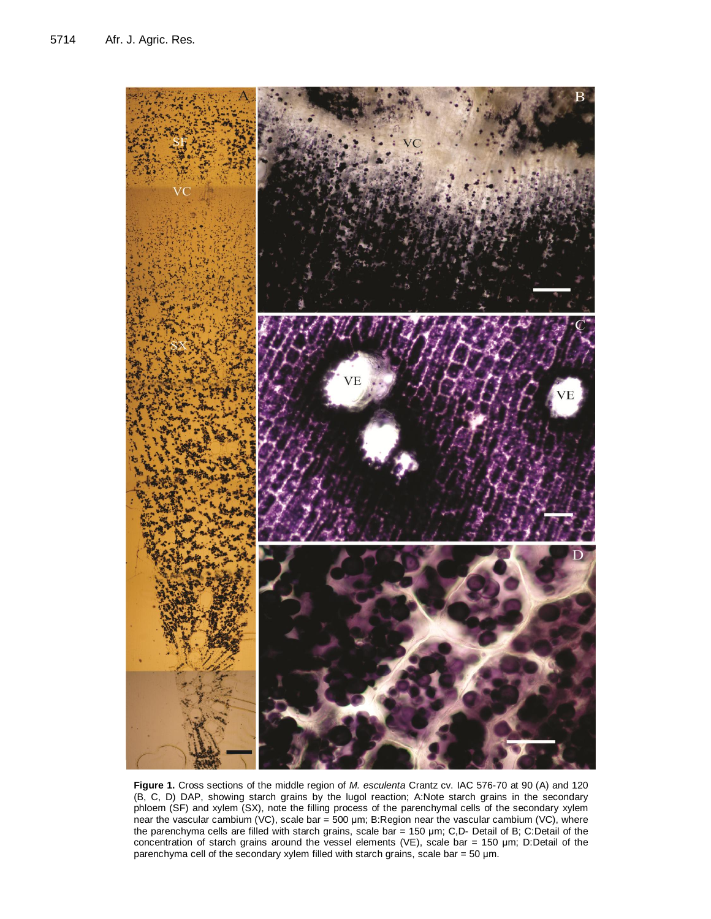

**Figure 1.** Cross sections of the middle region of *M. esculenta* Crantz cv. IAC 576-70 at 90 (A) and 120 (B, C, D) DAP, showing starch grains by the lugol reaction; A:Note starch grains in the secondary phloem (SF) and xylem (SX), note the filling process of the parenchymal cells of the secondary xylem near the vascular cambium (VC), scale bar = 500 μm; B:Region near the vascular cambium (VC), where the parenchyma cells are filled with starch grains, scale bar = 150 μm; C,D- Detail of B; C:Detail of the concentration of starch grains around the vessel elements (VE), scale bar = 150 μm; D:Detail of the parenchyma cell of the secondary xylem filled with starch grains, scale bar = 50 μm.